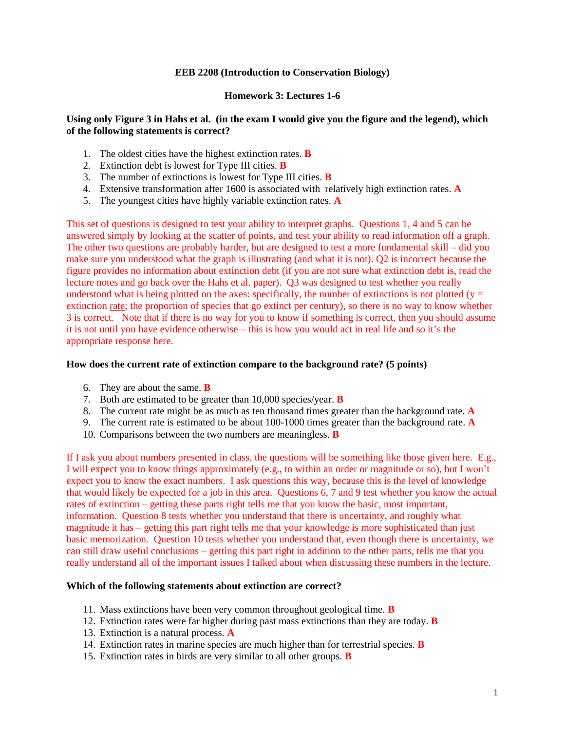### **EEB 2208 (Introduction to Conservation Biology)**

### **Homework 3: Lectures 1-6**

### **Using only Figure 3 in Hahs et al. (in the exam I would give you the figure and the legend), which of the following statements is correct?**

- 1. The oldest cities have the highest extinction rates. **B**
- 2. Extinction debt is lowest for Type III cities. **B**
- 3. The number of extinctions is lowest for Type III cities. **B**
- 4. Extensive transformation after 1600 is associated with relatively high extinction rates. **A**
- 5. The youngest cities have highly variable extinction rates. **A**

This set of questions is designed to test your ability to interpret graphs. Questions 1, 4 and 5 can be answered simply by looking at the scatter of points, and test your ability to read information off a graph. The other two questions are probably harder, but are designed to test a more fundamental skill – did you make sure you understood what the graph is illustrating (and what it is not). Q2 is incorrect because the figure provides no information about extinction debt (if you are not sure what extinction debt is, read the lecture notes and go back over the Hahs et al. paper). Q3 was designed to test whether you really understood what is being plotted on the axes: specifically, the number of extinctions is not plotted ( $y =$ extinction rate; the proportion of species that go extinct per century), so there is no way to know whether 3 is correct. Note that if there is no way for you to know if something is correct, then you should assume it is not until you have evidence otherwise – this is how you would act in real life and so it's the appropriate response here.

#### **How does the current rate of extinction compare to the background rate? (5 points)**

- 6. They are about the same. **B**
- 7. Both are estimated to be greater than 10,000 species/year. **B**
- 8. The current rate might be as much as ten thousand times greater than the background rate. **A**
- 9. The current rate is estimated to be about 100-1000 times greater than the background rate. **A**
- 10. Comparisons between the two numbers are meaningless. **B**

If I ask you about numbers presented in class, the questions will be something like those given here. E.g., I will expect you to know things approximately (e.g., to within an order or magnitude or so), but I won't expect you to know the exact numbers. I ask questions this way, because this is the level of knowledge that would likely be expected for a job in this area. Questions 6, 7 and 9 test whether you know the actual rates of extinction – getting these parts right tells me that you know the basic, most important, information. Question 8 tests whether you understand that there is uncertainty, and roughly what magnitude it has – getting this part right tells me that your knowledge is more sophisticated than just basic memorization. Question 10 tests whether you understand that, even though there is uncertainty, we can still draw useful conclusions – getting this part right in addition to the other parts, tells me that you really understand all of the important issues I talked about when discussing these numbers in the lecture.

#### **Which of the following statements about extinction are correct?**

- 11. Mass extinctions have been very common throughout geological time. **B**
- 12. Extinction rates were far higher during past mass extinctions than they are today. **B**
- 13. Extinction is a natural process. **A**
- 14. Extinction rates in marine species are much higher than for terrestrial species. **B**
- 15. Extinction rates in birds are very similar to all other groups. **B**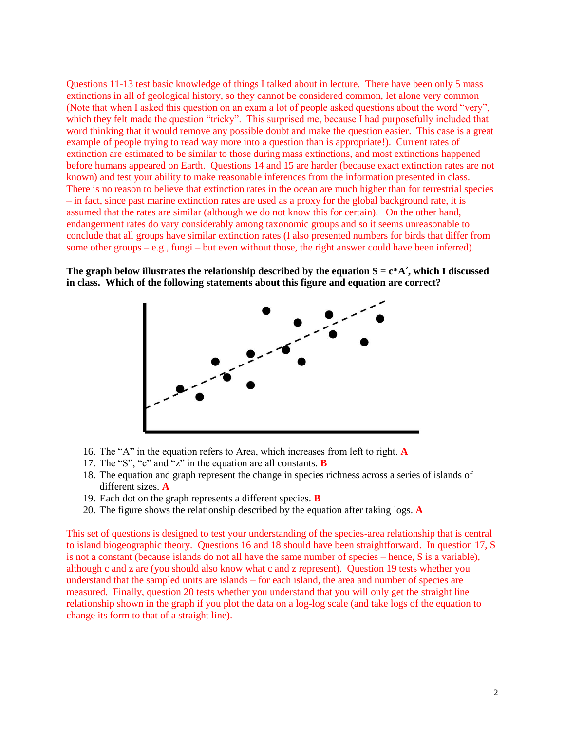Questions 11-13 test basic knowledge of things I talked about in lecture. There have been only 5 mass extinctions in all of geological history, so they cannot be considered common, let alone very common (Note that when I asked this question on an exam a lot of people asked questions about the word "very", which they felt made the question "tricky". This surprised me, because I had purposefully included that word thinking that it would remove any possible doubt and make the question easier. This case is a great example of people trying to read way more into a question than is appropriate!). Current rates of extinction are estimated to be similar to those during mass extinctions, and most extinctions happened before humans appeared on Earth. Questions 14 and 15 are harder (because exact extinction rates are not known) and test your ability to make reasonable inferences from the information presented in class. There is no reason to believe that extinction rates in the ocean are much higher than for terrestrial species – in fact, since past marine extinction rates are used as a proxy for the global background rate, it is assumed that the rates are similar (although we do not know this for certain). On the other hand, endangerment rates do vary considerably among taxonomic groups and so it seems unreasonable to conclude that all groups have similar extinction rates (I also presented numbers for birds that differ from some other groups – e.g., fungi – but even without those, the right answer could have been inferred).

The graph below illustrates the relationship described by the equation  $S = c^* A^z$ , which I discussed **in class. Which of the following statements about this figure and equation are correct?**



- 16. The "A" in the equation refers to Area, which increases from left to right. **A**
- 17. The "S", "c" and "z" in the equation are all constants. **B**
- 18. The equation and graph represent the change in species richness across a series of islands of different sizes. **A**
- 19. Each dot on the graph represents a different species. **B**
- 20. The figure shows the relationship described by the equation after taking logs. **A**

This set of questions is designed to test your understanding of the species-area relationship that is central to island biogeographic theory. Questions 16 and 18 should have been straightforward. In question 17, S is not a constant (because islands do not all have the same number of species – hence, S is a variable), although c and z are (you should also know what c and z represent). Question 19 tests whether you understand that the sampled units are islands – for each island, the area and number of species are measured. Finally, question 20 tests whether you understand that you will only get the straight line relationship shown in the graph if you plot the data on a log-log scale (and take logs of the equation to change its form to that of a straight line).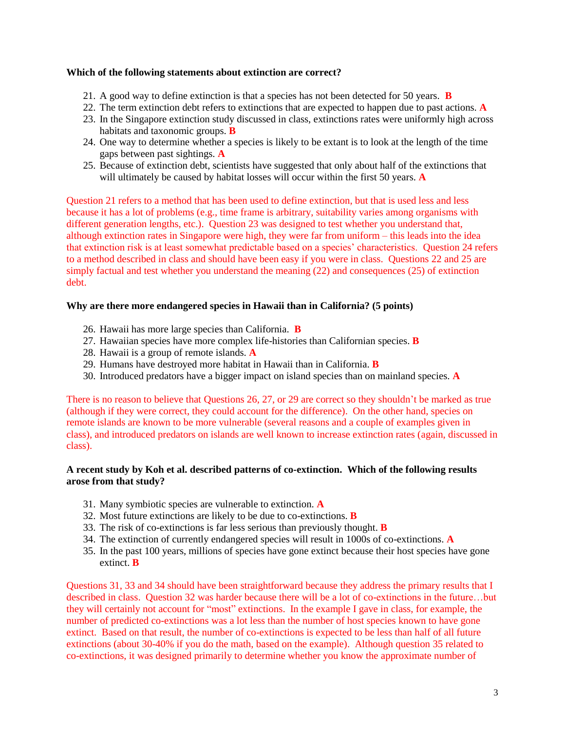### **Which of the following statements about extinction are correct?**

- 21. A good way to define extinction is that a species has not been detected for 50 years. **B**
- 22. The term extinction debt refers to extinctions that are expected to happen due to past actions. **A**
- 23. In the Singapore extinction study discussed in class, extinctions rates were uniformly high across habitats and taxonomic groups. **B**
- 24. One way to determine whether a species is likely to be extant is to look at the length of the time gaps between past sightings. **A**
- 25. Because of extinction debt, scientists have suggested that only about half of the extinctions that will ultimately be caused by habitat losses will occur within the first 50 years. **A**

Question 21 refers to a method that has been used to define extinction, but that is used less and less because it has a lot of problems (e.g., time frame is arbitrary, suitability varies among organisms with different generation lengths, etc.). Question 23 was designed to test whether you understand that, although extinction rates in Singapore were high, they were far from uniform – this leads into the idea that extinction risk is at least somewhat predictable based on a species' characteristics. Question 24 refers to a method described in class and should have been easy if you were in class. Questions 22 and 25 are simply factual and test whether you understand the meaning (22) and consequences (25) of extinction debt.

### **Why are there more endangered species in Hawaii than in California? (5 points)**

- 26. Hawaii has more large species than California. **B**
- 27. Hawaiian species have more complex life-histories than Californian species. **B**
- 28. Hawaii is a group of remote islands. **A**
- 29. Humans have destroyed more habitat in Hawaii than in California. **B**
- 30. Introduced predators have a bigger impact on island species than on mainland species. **A**

There is no reason to believe that Questions 26, 27, or 29 are correct so they shouldn't be marked as true (although if they were correct, they could account for the difference). On the other hand, species on remote islands are known to be more vulnerable (several reasons and a couple of examples given in class), and introduced predators on islands are well known to increase extinction rates (again, discussed in class).

## **A recent study by Koh et al. described patterns of co-extinction. Which of the following results arose from that study?**

- 31. Many symbiotic species are vulnerable to extinction. **A**
- 32. Most future extinctions are likely to be due to co-extinctions. **B**
- 33. The risk of co-extinctions is far less serious than previously thought. **B**
- 34. The extinction of currently endangered species will result in 1000s of co-extinctions. **A**
- 35. In the past 100 years, millions of species have gone extinct because their host species have gone extinct. **B**

Questions 31, 33 and 34 should have been straightforward because they address the primary results that I described in class. Question 32 was harder because there will be a lot of co-extinctions in the future…but they will certainly not account for "most" extinctions. In the example I gave in class, for example, the number of predicted co-extinctions was a lot less than the number of host species known to have gone extinct. Based on that result, the number of co-extinctions is expected to be less than half of all future extinctions (about 30-40% if you do the math, based on the example). Although question 35 related to co-extinctions, it was designed primarily to determine whether you know the approximate number of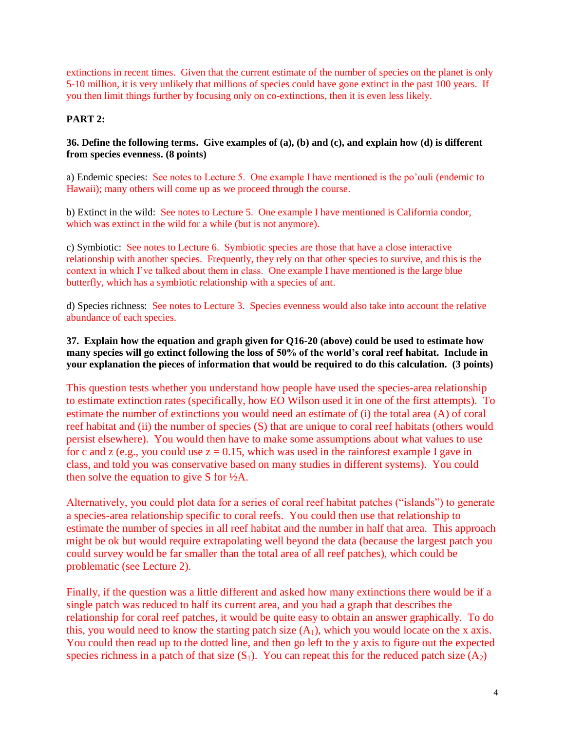extinctions in recent times. Given that the current estimate of the number of species on the planet is only 5-10 million, it is very unlikely that millions of species could have gone extinct in the past 100 years. If you then limit things further by focusing only on co-extinctions, then it is even less likely.

# **PART 2:**

## **36. Define the following terms. Give examples of (a), (b) and (c), and explain how (d) is different from species evenness. (8 points)**

a) Endemic species: See notes to Lecture 5. One example I have mentioned is the po'ouli (endemic to Hawaii); many others will come up as we proceed through the course.

b) Extinct in the wild: See notes to Lecture 5. One example I have mentioned is California condor, which was extinct in the wild for a while (but is not anymore).

c) Symbiotic: See notes to Lecture 6. Symbiotic species are those that have a close interactive relationship with another species. Frequently, they rely on that other species to survive, and this is the context in which I've talked about them in class. One example I have mentioned is the large blue butterfly, which has a symbiotic relationship with a species of ant.

d) Species richness: See notes to Lecture 3. Species evenness would also take into account the relative abundance of each species.

## **37. Explain how the equation and graph given for Q16-20 (above) could be used to estimate how many species will go extinct following the loss of 50% of the world's coral reef habitat. Include in your explanation the pieces of information that would be required to do this calculation. (3 points)**

This question tests whether you understand how people have used the species-area relationship to estimate extinction rates (specifically, how EO Wilson used it in one of the first attempts). To estimate the number of extinctions you would need an estimate of (i) the total area (A) of coral reef habitat and (ii) the number of species (S) that are unique to coral reef habitats (others would persist elsewhere). You would then have to make some assumptions about what values to use for c and z (e.g., you could use  $z = 0.15$ , which was used in the rainforest example I gave in class, and told you was conservative based on many studies in different systems). You could then solve the equation to give S for  $\frac{1}{2}$ A.

Alternatively, you could plot data for a series of coral reef habitat patches ("islands") to generate a species-area relationship specific to coral reefs. You could then use that relationship to estimate the number of species in all reef habitat and the number in half that area. This approach might be ok but would require extrapolating well beyond the data (because the largest patch you could survey would be far smaller than the total area of all reef patches), which could be problematic (see Lecture 2).

Finally, if the question was a little different and asked how many extinctions there would be if a single patch was reduced to half its current area, and you had a graph that describes the relationship for coral reef patches, it would be quite easy to obtain an answer graphically. To do this, you would need to know the starting patch size  $(A_1)$ , which you would locate on the x axis. You could then read up to the dotted line, and then go left to the y axis to figure out the expected species richness in a patch of that size  $(S_1)$ . You can repeat this for the reduced patch size  $(A_2)$